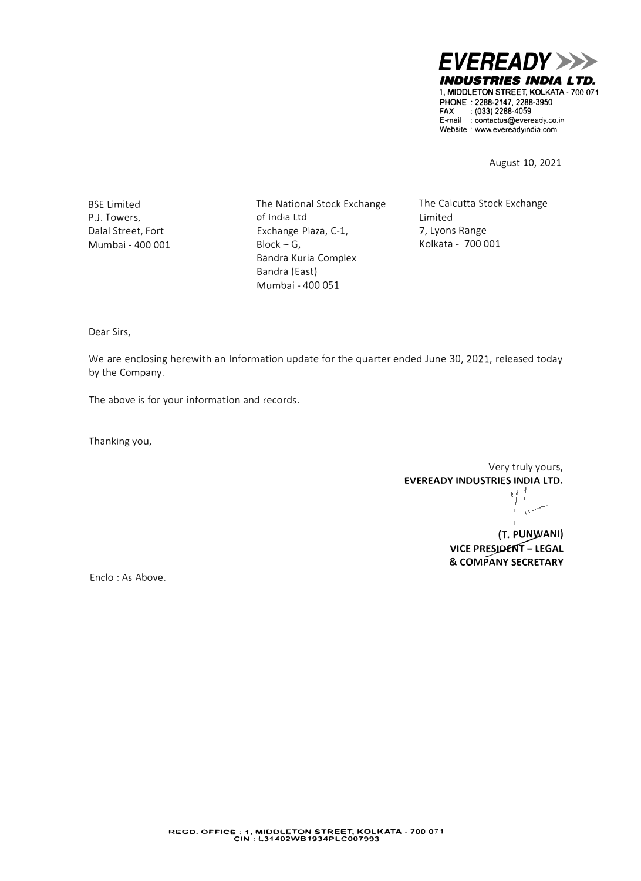*EVEREADY>>> INDUSTRIES INDIA LTD.*  **1, MIDDLETON STREET, KOLKATA. 700 071**  PHONE : **2288-2147,** 2288-3950 **FAX** : (033) 2288-4059 E-mail : contactus@eveready.co.in **Website** · **www.evereadyindia.com** 

August 10, 2021

BSE Limited P.J. Towers, Dalal Street, Fort Mumbai - 400 001 The National Stock Exchange of India Ltd Exchange Plaza, C-1,  $Block - G$ , Bandra Kurla Complex Bandra (East) Mumbai - 400 051

The Calcutta Stock Exchange Limited 7, Lyons Range Kolkata - 700 001

Dear Sirs,

We are enclosing herewith an Information update for the quarter ended June 30, 2021, released today by the Company.

The above is for your information and records.

Thanking you,

Very truly yours, **EVEREADY INDUSTRIES INDIA LTD.** 

**{T. P�ANI) VICE PRESIDENT - LEGAL & COMPANY SECRETARY** 

Enclo: As Above.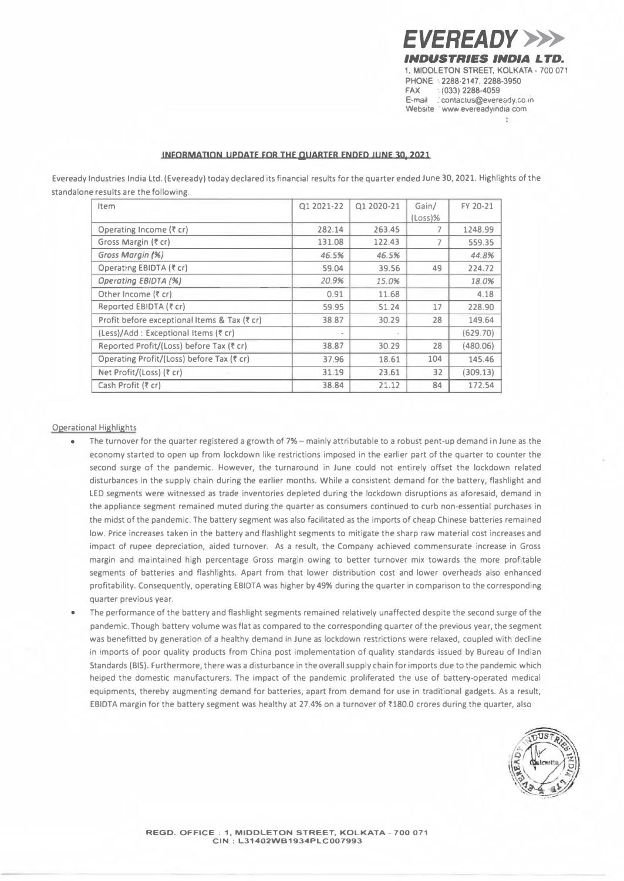*EVEREADY>>> INDUSTRIES INDIA LTD.*  **1, MIDDLETON STREET, KOLKATA· 700 071 PHONE · 2288-2147, 2288-3950 FAX · (033) 2288-4059 E-mail . contactus@eveready.co.tn**  Website www evereadyindia com  $\Phi$ 

## **INFORMATION UPDATE FOR** THE **QUARTER ENDED JUNE 30, 2021**

Eveready Industries India Ltd. (Eveready) today declared its financial results for the quarter ended June 30, 2021. Highlights of the standalone results are the following.

| Item                                         | 01 2021-22 | 01 2020-21 | Gain/<br>$(Loss)$ % | FY 20-21 |
|----------------------------------------------|------------|------------|---------------------|----------|
| Operating Income (₹ cr)                      | 282.14     | 263.45     |                     | 1248.99  |
| Gross Margin (₹ cr)                          | 131.08     | 122.43     |                     | 559.35   |
| Gross Margin (%)                             | 46.5%      | 46.5%      |                     | 44.8%    |
| Operating EBIDTA (₹ cr)                      | 59.04      | 39.56      | 49                  | 224.72   |
| Operating EBIDTA (%)                         | 20.9%      | 15.0%      |                     | 18.0%    |
| Other Income (₹ cr)                          | 0.91       | 11.68      |                     | 4.18     |
| Reported EBIDTA (₹ cr)                       | 59.95      | 51.24      | 17                  | 228.90   |
| Profit before exceptional Items & Tax (₹ cr) | 38.87      | 30.29      | 28                  | 149.64   |
| (Less)/Add : Exceptional Items (₹ cr)        |            |            |                     | (629.70) |
| Reported Profit/(Loss) before Tax (₹ cr)     | 38.87      | 30.29      | 28                  | (480.06) |
| Operating Profit/(Loss) before Tax (₹ cr)    | 37.96      | 18.61      | 104                 | 145.46   |
| Net Profit/(Loss) (₹ cr)                     | 31.19      | 23.61      | 32                  | (309.13) |
| Cash Profit (₹ cr)                           | 38.84      | 21.12      | 84                  | 172.54   |

## Operational Highlights

- The turnover for the quarter registered a growth of 7% mainly attributable to a robust pent-up demand in June as the economy started to open up from lockdown like restrictions imposed in the earlier part of the quarter to counter the second surge of the pandemic. However, the turnaround in June could not entirely offset the lockdown related disturbances in the supply chain during the earlier months. While a consistent demand for the battery, flashlight and LED segments were witnessed as trade inventories depleted during the lockdown disruptions as aforesaid, demand in the appliance segment remained muted during the quarter as consumers continued to curb non-essential purchases in the midst of the pandemic. The battery segment was also facilitated as the imports of cheap Chinese batteries remained low. Price increases taken in the battery and flashlight segments to mitigate the sharp raw material cost increases and impact of rupee depreciation, aided turnover. As a result, the Company achieved commensurate increase in Gross margin and maintained high percentage Gross margin owing to better turnover mix towards the more profitable segments of batteries and flashlights. Apart from that lower distribution cost and lower overheads also enhanced profitability. Consequently, operating EBIDTA was higher by 49% during the quarter in comparison to the corresponding quarter previous year.
- The performance of the battery and flashlight segments remained relatively unaffected despite the second surge of the pandemic. Though battery volume was flat as compared to the corresponding quarter of the previous year, the segment was benefitted by generation of a healthy demand in June as lockdown restrictions were relaxed, coupled with decline in imports of poor quality products from China post implementation of quality standards issued by Bureau of Indian Standards (BIS). Furthermore, there was a disturbance in the overall supply chain for imports due to the pandemic which helped the domestic manufacturers. The impact of the pandemic proliferated the use of battery-operated medical equipments, thereby augmenting demand for batteries, apart from demand for use in traditional gadgets. As a result, EBIDTA margin for the battery segment was healthy at 27.4% on a turnover of ₹180.0 crores during the quarter, also